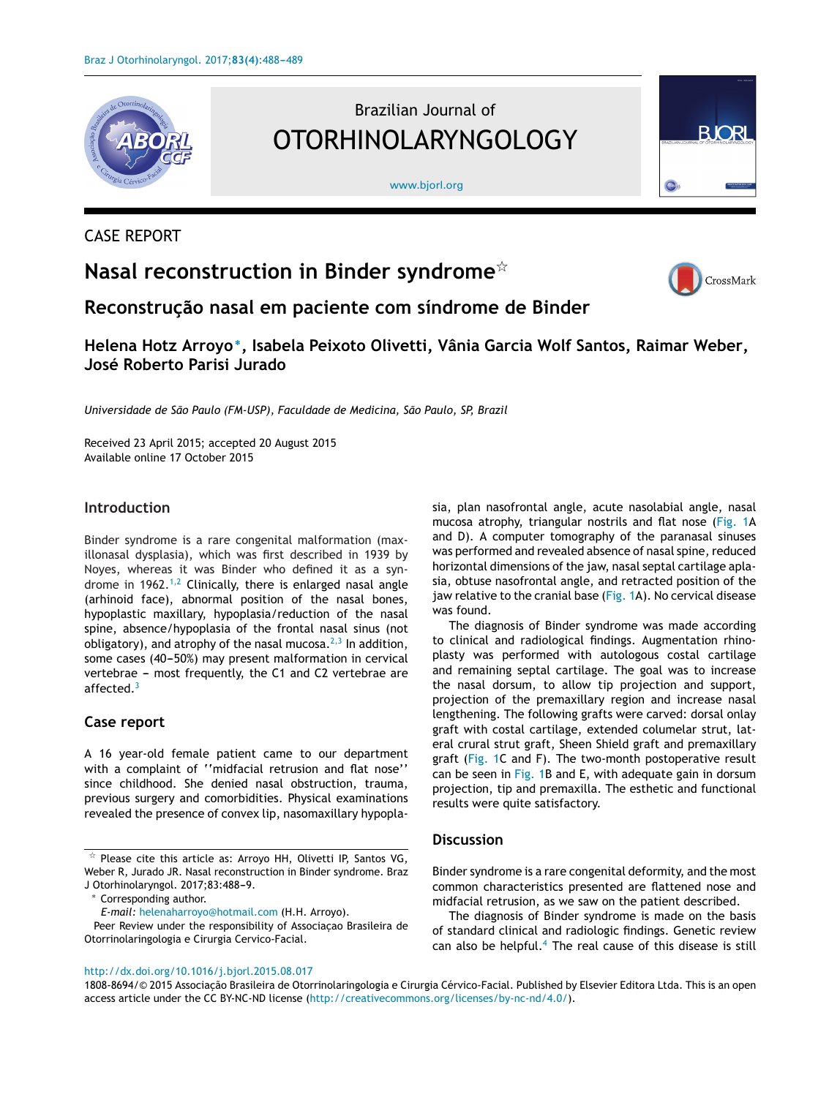

## CASE REPORT

# **Nasal reconstruction in Binder syndrome**-



**RIORI** 

**Reconstruc¸ão nasal em paciente com síndrome de Binder**

## **Helena Hotz Arroyo∗, Isabela Peixoto Olivetti, Vânia Garcia Wolf Santos, Raimar Weber, José Roberto Parisi Jurado**

[www.bjorl.org](http://www.bjorl.org)

Brazilian Journal of

OTORHINOLARYNGOLOGY

*Universidade de São Paulo (FM-USP), Faculdade de Medicina, São Paulo, SP, Brazil*

Received 23 April 2015; accepted 20 August 2015 Available online 17 October 2015

#### **Introduction**

Binder syndrome is a rare congenital malformation (maxillonasal dysplasia), which was first described in 1939 by Noyes, whereas it was Binder who defined it as a syn-drome in 1962.<sup>[1,2](#page-1-0)</sup> Clinically, there is enlarged nasal angle (arhinoid face), abnormal position of the nasal bones, hypoplastic maxillary, hypoplasia/reduction of the nasal spine, absence/hypoplasia of the frontal nasal sinus (not obligatory), and atrophy of the nasal mucosa. $2,3$  In addition, some cases (40-50%) may present malformation in cervical vertebrae  $-$  most frequently, the C1 and C2 vertebrae are affected.<sup>[3](#page-1-0)</sup>

#### **Case report**

A 16 year-old female patient came to our department with a complaint of ''midfacial retrusion and flat nose'' since childhood. She denied nasal obstruction, trauma, previous surgery and comorbidities. Physical examinations revealed the presence of convex lip, nasomaxillary hypopla-

Corresponding author.

*E-mail:* [helenaharroyo@hotmail.com](mailto:helenaharroyo@hotmail.com) (H.H. Arroyo).

Peer Review under the responsibility of Associaçao Brasileira de Otorrinolaringologia e Cirurgia Cervico-Facial.

sia, plan nasofrontal angle, acute nasolabial angle, nasal mucosa atrophy, triangular nostrils and flat nose ([Fig.](#page-1-0) 1A and D). A computer tomography of the paranasal sinuses was performed and revealed absence of nasal spine, reduced horizontal dimensions of the jaw, nasal septal cartilage aplasia, obtuse nasofrontal angle, and retracted position of the jaw relative to the cranial base [\(Fig.](#page-1-0) 1A). No cervical disease was found.

The diagnosis of Binder syndrome was made according to clinical and radiological findings. Augmentation rhinoplasty was performed with autologous costal cartilage and remaining septal cartilage. The goal was to increase the nasal dorsum, to allow tip projection and support, projection of the premaxillary region and increase nasal lengthening. The following grafts were carved: dorsal onlay graft with costal cartilage, extended columelar strut, lateral crural strut graft, Sheen Shield graft and premaxillary graft [\(Fig.](#page-1-0) 1C and F). The two-month postoperative result can be seen in [Fig.](#page-1-0) 1B and E, with adequate gain in dorsum projection, tip and premaxilla. The esthetic and functional results were quite satisfactory.

#### **Discussion**

Binder syndrome is a rare congenital deformity, and the most common characteristics presented are flattened nose and midfacial retrusion, as we saw on the patient described.

The diagnosis of Binder syndrome is made on the basis of standard clinical and radiologic findings. Genetic review can also be helpful.<sup>[4](#page-1-0)</sup> The real cause of this disease is still

#### [http://dx.doi.org/10.1016/j.bjorl.2015.08.017](dx.doi.org/10.1016/j.bjorl.2015.08.017)

1808-8694/© 2015 Associação Brasileira de Otorrinolaringologia e Cirurgia Cérvico-Facial. Published by Elsevier Editora Ltda. This is an open access article under the CC BY-NC-ND license [\(http://creativecommons.org/licenses/by-nc-nd/4.0/\)](http://creativecommons.org/licenses/by-nc-nd/4.0/).

 $\overline{\mathbf{r}}$  Please cite this article as: Arroyo HH, Olivetti IP, Santos VG, Weber R, Jurado JR. Nasal reconstruction in Binder syndrome. Braz J Otorhinolaryngol. 2017;83:488-9.